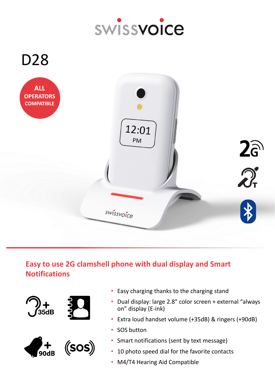



# **Easy to use 2G clamshell phone with dual display and Smart Notifications**







- Easy charging thanks to the charging stand
- Dual display: large 2.8" color screen + external "always on" display (E-ink)
- Extra loud handset volume (+35dB) & ringers (+90dB)
- SOS button
- Smart notifications (sent by text message)
- 10 photo speed dial for the favorite contacts
- M4/T4 Hearing Aid Compatible